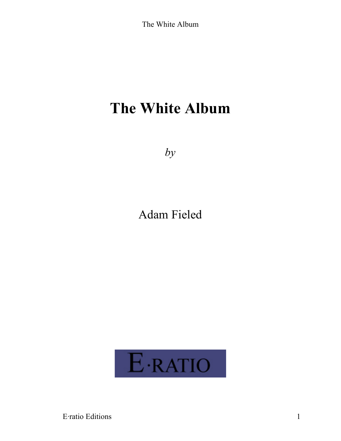# **The White Album**

*by*

# Adam Fieled



E·ratio Editions 1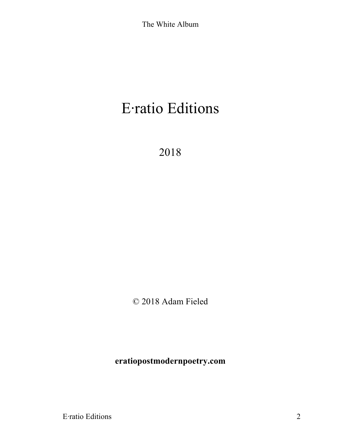# E·ratio Editions

2018

© 2018 Adam Fieled

# **eratiopostmodernpoetry.com**

E·ratio Editions 2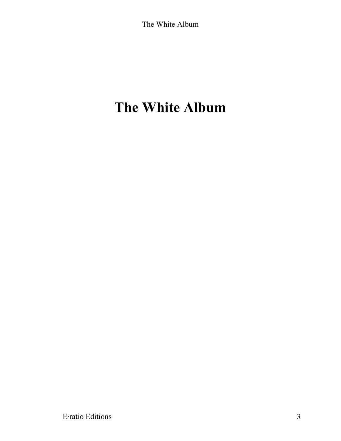# **The White Album**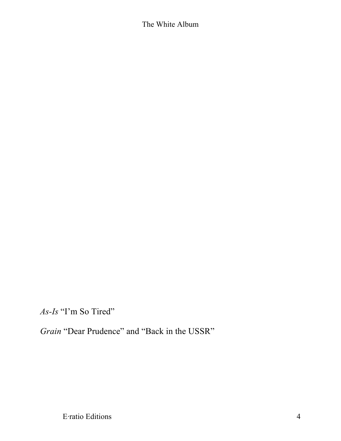*As-Is* "I'm So Tired"

*Grain* "Dear Prudence" and "Back in the USSR"

E·ratio Editions 4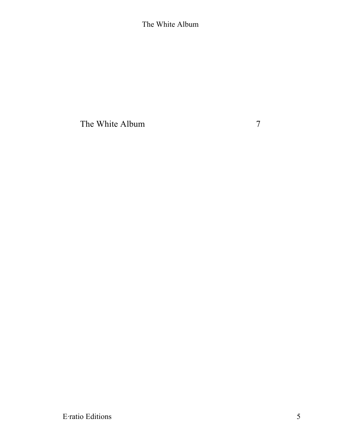The White Album 7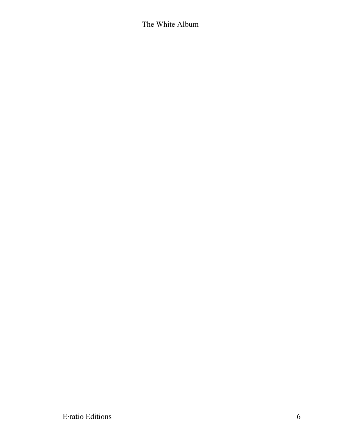E·ratio Editions 6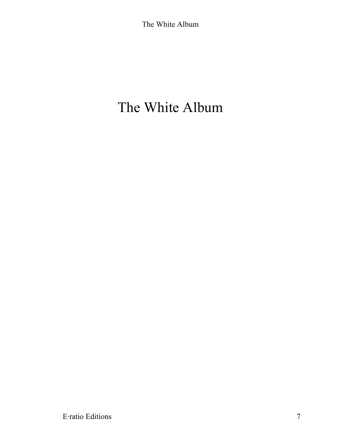# The White Album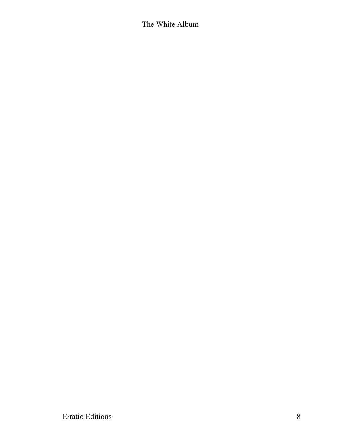E·ratio Editions 8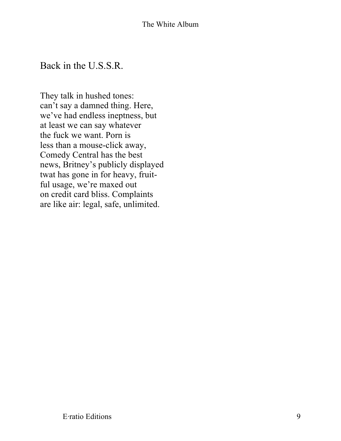#### Back in the U.S.S.R.

They talk in hushed tones: can't say a damned thing. Here, we've had endless ineptness, but at least we can say whatever the fuck we want. Porn is less than a mouse-click away, Comedy Central has the best news, Britney's publicly displayed twat has gone in for heavy, fruitful usage, we're maxed out on credit card bliss. Complaints are like air: legal, safe, unlimited.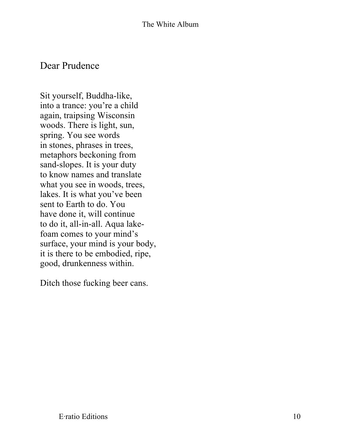#### Dear Prudence

Sit yourself, Buddha-like, into a trance: you're a child again, traipsing Wisconsin woods. There is light, sun, spring. You see words in stones, phrases in trees, metaphors beckoning from sand-slopes. It is your duty to know names and translate what you see in woods, trees, lakes. It is what you've been sent to Earth to do. You have done it, will continue to do it, all-in-all. Aqua lakefoam comes to your mind's surface, your mind is your body, it is there to be embodied, ripe, good, drunkenness within.

Ditch those fucking beer cans.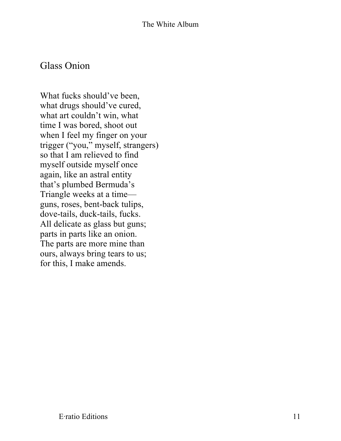#### Glass Onion

What fucks should've been, what drugs should've cured, what art couldn't win, what time I was bored, shoot out when I feel my finger on your trigger ("you," myself, strangers) so that I am relieved to find myself outside myself once again, like an astral entity that's plumbed Bermuda's Triangle weeks at a time guns, roses, bent-back tulips, dove-tails, duck-tails, fucks. All delicate as glass but guns; parts in parts like an onion. The parts are more mine than ours, always bring tears to us; for this, I make amends.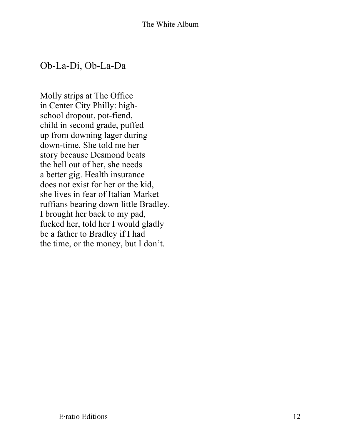#### Ob-La-Di, Ob-La-Da

Molly strips at The Office in Center City Philly: highschool dropout, pot-fiend, child in second grade, puffed up from downing lager during down-time. She told me her story because Desmond beats the hell out of her, she needs a better gig. Health insurance does not exist for her or the kid, she lives in fear of Italian Market ruffians bearing down little Bradley. I brought her back to my pad, fucked her, told her I would gladly be a father to Bradley if I had the time, or the money, but I don't.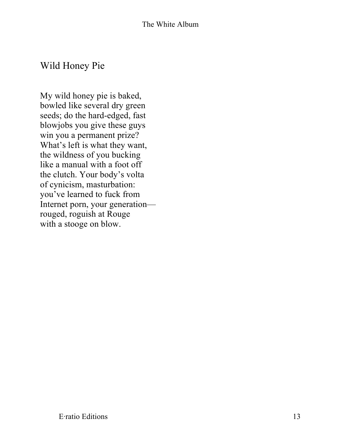## Wild Honey Pie

My wild honey pie is baked, bowled like several dry green seeds; do the hard-edged, fast blowjobs you give these guys win you a permanent prize? What's left is what they want, the wildness of you bucking like a manual with a foot off the clutch. Your body's volta of cynicism, masturbation: you've learned to fuck from Internet porn, your generation rouged, roguish at Rouge with a stooge on blow.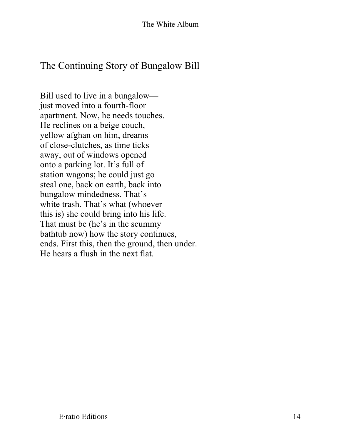# The Continuing Story of Bungalow Bill

Bill used to live in a bungalow just moved into a fourth-floor apartment. Now, he needs touches. He reclines on a beige couch, yellow afghan on him, dreams of close-clutches, as time ticks away, out of windows opened onto a parking lot. It's full of station wagons; he could just go steal one, back on earth, back into bungalow mindedness. That's white trash. That's what (whoever this is) she could bring into his life. That must be (he's in the scummy bathtub now) how the story continues, ends. First this, then the ground, then under. He hears a flush in the next flat.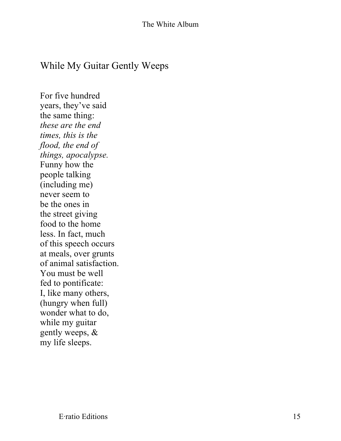# While My Guitar Gently Weeps

For five hundred years, they've said the same thing: *these are the end times, this is the flood, the end of things, apocalypse.*  Funny how the people talking (including me) never seem to be the ones in the street giving food to the home less. In fact, much of this speech occurs at meals, over grunts of animal satisfaction. You must be well fed to pontificate: I, like many others, (hungry when full) wonder what to do, while my guitar gently weeps, & my life sleeps.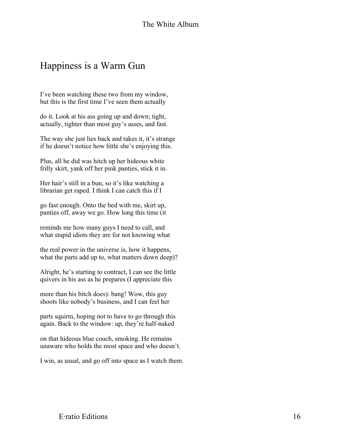# Happiness is a Warm Gun

I've been watching these two from my window, but this is the first time I've seen them actually

do it. Look at his ass going up and down; tight, actually, tighter than most guy's asses, and fast.

The way she just lies back and takes it, it's strange if he doesn't notice how little she's enjoying this.

Plus, all he did was hitch up her hideous white frilly skirt, yank off her pink panties, stick it in.

Her hair's still in a bun, so it's like watching a librarian get raped. I think I can catch this if I

go fast enough. Onto the bed with me, skirt up, panties off, away we go. How long this time (it

reminds me how many guys I need to call, and what stupid idiots they are for not knowing what

the real power in the universe is, how it happens, what the parts add up to, what matters down deep)?

Alright, he's starting to contract, I can see the little quivers in his ass as he prepares (I appreciate this

more than his bitch does): bang! Wow, this guy shoots like nobody's business, and I can feel her

parts squirm, hoping not to have to go through this again. Back to the window: up, they're half-naked

on that hideous blue couch, smoking. He remains unaware who holds the most space and who doesn't.

I win, as usual, and go off into space as I watch them.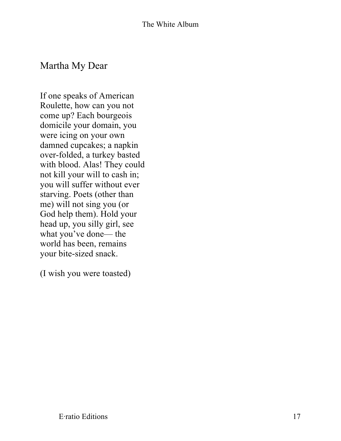#### Martha My Dear

If one speaks of American Roulette, how can you not come up? Each bourgeois domicile your domain, you were icing on your own damned cupcakes; a napkin over-folded, a turkey basted with blood. Alas! They could not kill your will to cash in; you will suffer without ever starving. Poets (other than me) will not sing you (or God help them). Hold your head up, you silly girl, see what you've done— the world has been, remains your bite-sized snack.

(I wish you were toasted)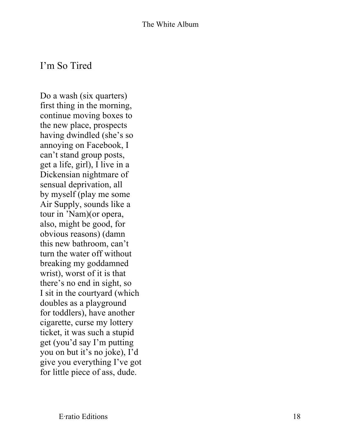#### I'm So Tired

Do a wash (six quarters) first thing in the morning, continue moving boxes to the new place, prospects having dwindled (she's so annoying on Facebook, I can't stand group posts, get a life, girl), I live in a Dickensian nightmare of sensual deprivation, all by myself (play me some Air Supply, sounds like a tour in 'Nam)(or opera, also, might be good, for obvious reasons) (damn this new bathroom, can't turn the water off without breaking my goddamned wrist), worst of it is that there's no end in sight, so I sit in the courtyard (which doubles as a playground for toddlers), have another cigarette, curse my lottery ticket, it was such a stupid get (you'd say I'm putting you on but it's no joke), I'd give you everything I've got for little piece of ass, dude.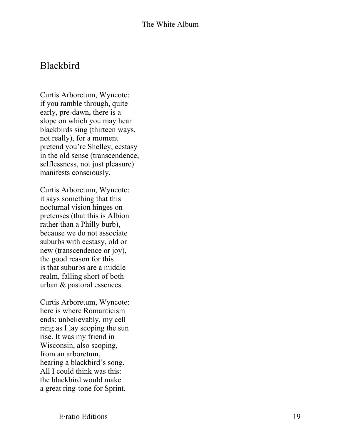#### Blackbird

Curtis Arboretum, Wyncote: if you ramble through, quite early, pre-dawn, there is a slope on which you may hear blackbirds sing (thirteen ways, not really), for a moment pretend you're Shelley, ecstasy in the old sense (transcendence, selflessness, not just pleasure) manifests consciously.

Curtis Arboretum, Wyncote: it says something that this nocturnal vision hinges on pretenses (that this is Albion rather than a Philly burb), because we do not associate suburbs with ecstasy, old or new (transcendence or joy), the good reason for this is that suburbs are a middle realm, falling short of both urban & pastoral essences.

Curtis Arboretum, Wyncote: here is where Romanticism ends: unbelievably, my cell rang as I lay scoping the sun rise. It was my friend in Wisconsin, also scoping, from an arboretum, hearing a blackbird's song. All I could think was this: the blackbird would make a great ring-tone for Sprint.

E·ratio Editions 19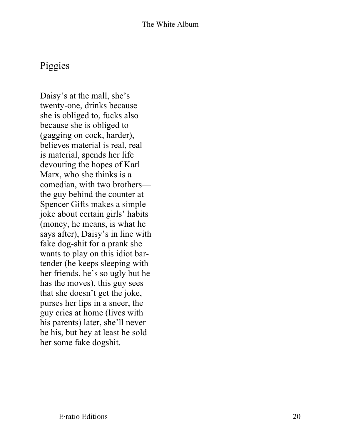# Piggies

Daisy's at the mall, she's twenty-one, drinks because she is obliged to, fucks also because she is obliged to (gagging on cock, harder), believes material is real, real is material, spends her life devouring the hopes of Karl Marx, who she thinks is a comedian, with two brothers the guy behind the counter at Spencer Gifts makes a simple joke about certain girls' habits (money, he means, is what he says after), Daisy's in line with fake dog-shit for a prank she wants to play on this idiot bartender (he keeps sleeping with her friends, he's so ugly but he has the moves), this guy sees that she doesn't get the joke, purses her lips in a sneer, the guy cries at home (lives with his parents) later, she'll never be his, but hey at least he sold her some fake dogshit.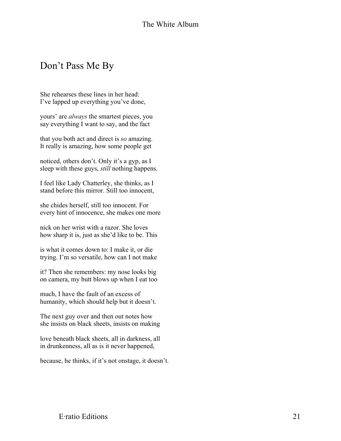## Don't Pass Me By

She rehearses these lines in her head: I've lapped up everything you've done,

yours' are *always* the smartest pieces, you say everything I want to say, and the fact

that you both act and direct is *so* amazing. It really is amazing, how some people get

noticed, others don't. Only it's a gyp, as I sleep with these guys, *still* nothing happens.

I feel like Lady Chatterley, she thinks, as I stand before this mirror. Still too innocent,

she chides herself, still too innocent. For every hint of innocence, she makes one more

nick on her wrist with a razor. She loves how sharp it is, just as she'd like to be. This

is what it comes down to: I make it, or die trying. I'm so versatile, how can I not make

it? Then she remembers: my nose looks big on camera, my butt blows up when I eat too

much, I have the fault of an excess of humanity, which should help but it doesn't.

The next guy over and then out notes how she insists on black sheets, insists on making

love beneath black sheets, all in darkness, all in drunkenness, all as is it never happened,

because, he thinks, if it's not onstage, it doesn't.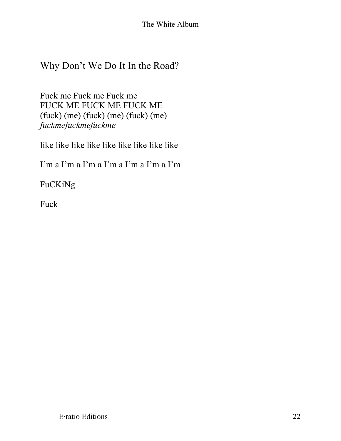# Why Don't We Do It In the Road?

Fuck me Fuck me Fuck me FUCK ME FUCK ME FUCK ME (fuck) (me) (fuck) (me) (fuck) (me) *fuckmefuckmefuckme*

like like like like like like like like like

I'm a I'm a I'm a I'm a I'm a I'm a I'm

FuCKiNg

Fuck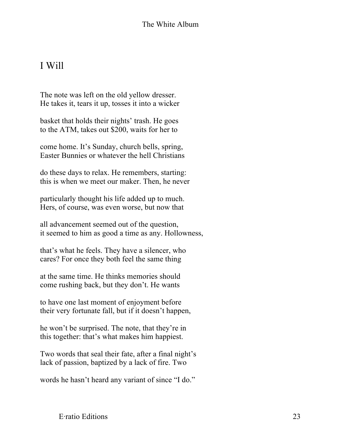#### I Will

The note was left on the old yellow dresser. He takes it, tears it up, tosses it into a wicker

basket that holds their nights' trash. He goes to the ATM, takes out \$200, waits for her to

come home. It's Sunday, church bells, spring, Easter Bunnies or whatever the hell Christians

do these days to relax. He remembers, starting: this is when we meet our maker. Then, he never

particularly thought his life added up to much. Hers, of course, was even worse, but now that

all advancement seemed out of the question, it seemed to him as good a time as any. Hollowness,

that's what he feels. They have a silencer, who cares? For once they both feel the same thing

at the same time. He thinks memories should come rushing back, but they don't. He wants

to have one last moment of enjoyment before their very fortunate fall, but if it doesn't happen,

he won't be surprised. The note, that they're in this together: that's what makes him happiest.

Two words that seal their fate, after a final night's lack of passion, baptized by a lack of fire. Two

words he hasn't heard any variant of since "I do."

E·ratio Editions 23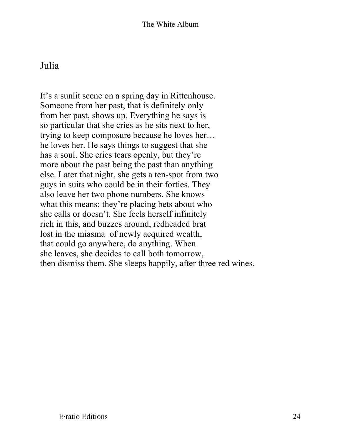# Julia

It's a sunlit scene on a spring day in Rittenhouse. Someone from her past, that is definitely only from her past, shows up. Everything he says is so particular that she cries as he sits next to her, trying to keep composure because he loves her… he loves her. He says things to suggest that she has a soul. She cries tears openly, but they're more about the past being the past than anything else. Later that night, she gets a ten-spot from two guys in suits who could be in their forties. They also leave her two phone numbers. She knows what this means: they're placing bets about who she calls or doesn't. She feels herself infinitely rich in this, and buzzes around, redheaded brat lost in the miasma of newly acquired wealth, that could go anywhere, do anything. When she leaves, she decides to call both tomorrow, then dismiss them. She sleeps happily, after three red wines.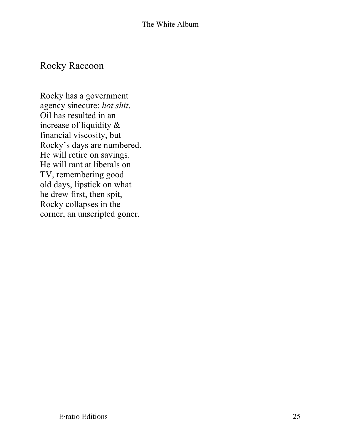#### Rocky Raccoon

Rocky has a government agency sinecure: *hot shit*. Oil has resulted in an increase of liquidity & financial viscosity, but Rocky's days are numbered. He will retire on savings. He will rant at liberals on TV, remembering good old days, lipstick on what he drew first, then spit, Rocky collapses in the corner, an unscripted goner.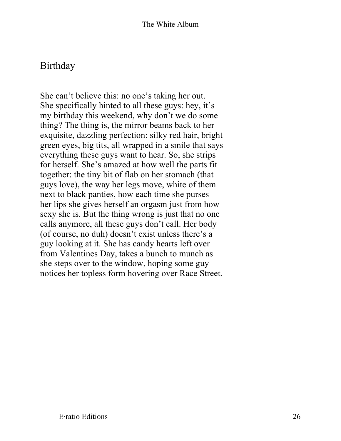#### Birthday

She can't believe this: no one's taking her out. She specifically hinted to all these guys: hey, it's my birthday this weekend, why don't we do some thing? The thing is, the mirror beams back to her exquisite, dazzling perfection: silky red hair, bright green eyes, big tits, all wrapped in a smile that says everything these guys want to hear. So, she strips for herself. She's amazed at how well the parts fit together: the tiny bit of flab on her stomach (that guys love), the way her legs move, white of them next to black panties, how each time she purses her lips she gives herself an orgasm just from how sexy she is. But the thing wrong is just that no one calls anymore, all these guys don't call. Her body (of course, no duh) doesn't exist unless there's a guy looking at it. She has candy hearts left over from Valentines Day, takes a bunch to munch as she steps over to the window, hoping some guy notices her topless form hovering over Race Street.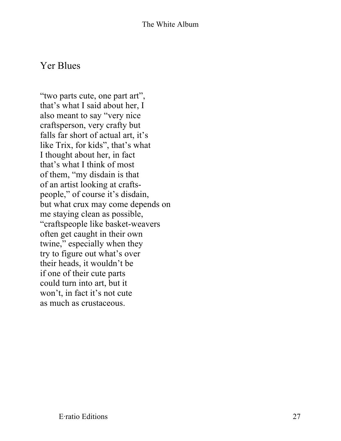#### Yer Blues

"two parts cute, one part art", that's what I said about her, I also meant to say "very nice craftsperson, very crafty but falls far short of actual art, it's like Trix, for kids", that's what I thought about her, in fact that's what I think of most of them, "my disdain is that of an artist looking at craftspeople," of course it's disdain, but what crux may come depends on me staying clean as possible, "craftspeople like basket-weavers often get caught in their own twine," especially when they try to figure out what's over their heads, it wouldn't be if one of their cute parts could turn into art, but it won't, in fact it's not cute as much as crustaceous.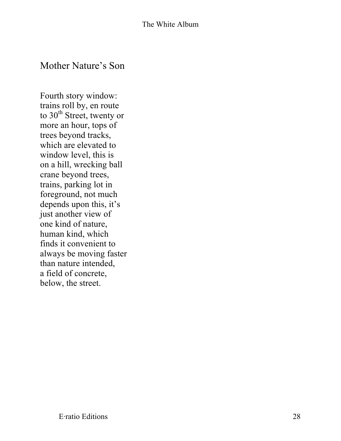#### Mother Nature's Son

Fourth story window: trains roll by, en route to 30<sup>th</sup> Street, twenty or more an hour, tops of trees beyond tracks, which are elevated to window level, this is on a hill, wrecking ball crane beyond trees, trains, parking lot in foreground, not much depends upon this, it's just another view of one kind of nature, human kind, which finds it convenient to always be moving faster than nature intended, a field of concrete, below, the street.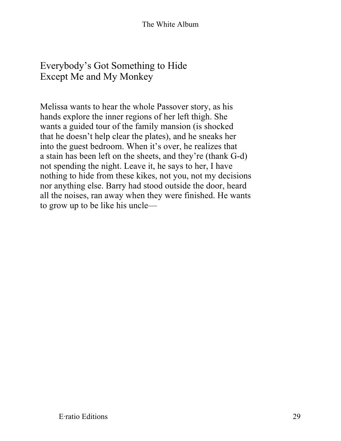# Everybody's Got Something to Hide Except Me and My Monkey

Melissa wants to hear the whole Passover story, as his hands explore the inner regions of her left thigh. She wants a guided tour of the family mansion (is shocked that he doesn't help clear the plates), and he sneaks her into the guest bedroom. When it's over, he realizes that a stain has been left on the sheets, and they're (thank G-d) not spending the night. Leave it, he says to her, I have nothing to hide from these kikes, not you, not my decisions nor anything else. Barry had stood outside the door, heard all the noises, ran away when they were finished. He wants to grow up to be like his uncle—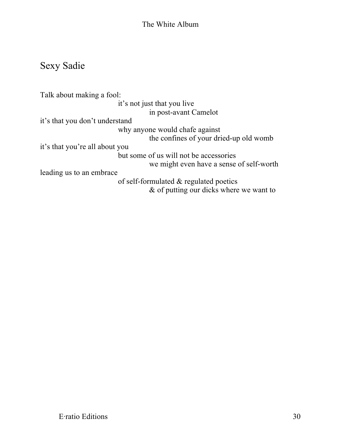# Sexy Sadie

Talk about making a fool: it's not just that you live in post-avant Camelot it's that you don't understand why anyone would chafe against the confines of your dried-up old womb it's that you're all about you but some of us will not be accessories we might even have a sense of self-worth leading us to an embrace of self-formulated & regulated poetics & of putting our dicks where we want to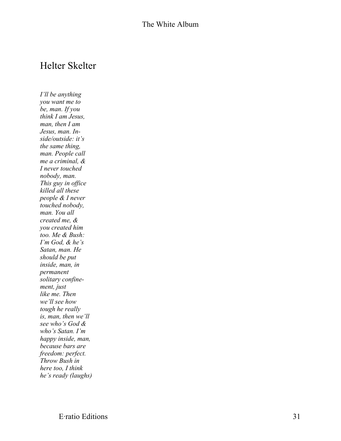#### Helter Skelter

*I'll be anything you want me to be, man. If you think I am Jesus, man, then I am Jesus, man. Inside/outside: it's the same thing, man. People call me a criminal, & I never touched nobody, man. This guy in office killed all these people & I never touched nobody, man. You all created me, & you created him too. Me & Bush: I'm God, & he's Satan, man. He should be put inside, man, in permanent solitary confinement, just like me. Then we'll see how tough he really is, man, then we'll see who's God & who's Satan. I'm happy inside, man, because bars are freedom: perfect. Throw Bush in here too, I think he's ready (laughs)*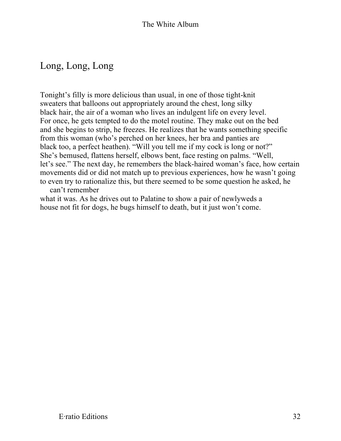### Long, Long, Long

Tonight's filly is more delicious than usual, in one of those tight-knit sweaters that balloons out appropriately around the chest, long silky black hair, the air of a woman who lives an indulgent life on every level. For once, he gets tempted to do the motel routine. They make out on the bed and she begins to strip, he freezes. He realizes that he wants something specific from this woman (who's perched on her knees, her bra and panties are black too, a perfect heathen). "Will you tell me if my cock is long or not?" She's bemused, flattens herself, elbows bent, face resting on palms. "Well, let's see." The next day, he remembers the black-haired woman's face, how certain movements did or did not match up to previous experiences, how he wasn't going to even try to rationalize this, but there seemed to be some question he asked, he can't remember

what it was. As he drives out to Palatine to show a pair of newlyweds a house not fit for dogs, he bugs himself to death, but it just won't come.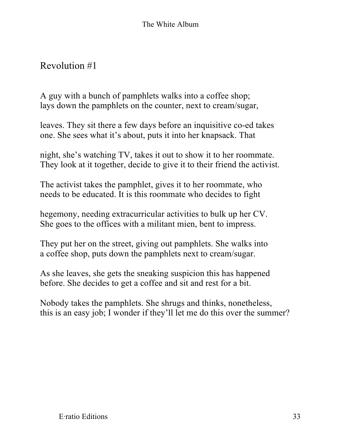# Revolution #1

A guy with a bunch of pamphlets walks into a coffee shop; lays down the pamphlets on the counter, next to cream/sugar,

leaves. They sit there a few days before an inquisitive co-ed takes one. She sees what it's about, puts it into her knapsack. That

night, she's watching TV, takes it out to show it to her roommate. They look at it together, decide to give it to their friend the activist.

The activist takes the pamphlet, gives it to her roommate, who needs to be educated. It is this roommate who decides to fight

hegemony, needing extracurricular activities to bulk up her CV. She goes to the offices with a militant mien, bent to impress.

They put her on the street, giving out pamphlets. She walks into a coffee shop, puts down the pamphlets next to cream/sugar.

As she leaves, she gets the sneaking suspicion this has happened before. She decides to get a coffee and sit and rest for a bit.

Nobody takes the pamphlets. She shrugs and thinks, nonetheless, this is an easy job; I wonder if they'll let me do this over the summer?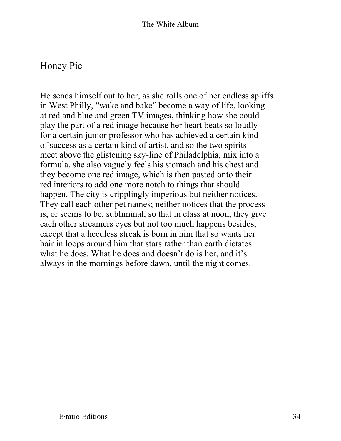### Honey Pie

He sends himself out to her, as she rolls one of her endless spliffs in West Philly, "wake and bake" become a way of life, looking at red and blue and green TV images, thinking how she could play the part of a red image because her heart beats so loudly for a certain junior professor who has achieved a certain kind of success as a certain kind of artist, and so the two spirits meet above the glistening sky-line of Philadelphia, mix into a formula, she also vaguely feels his stomach and his chest and they become one red image, which is then pasted onto their red interiors to add one more notch to things that should happen. The city is cripplingly imperious but neither notices. They call each other pet names; neither notices that the process is, or seems to be, subliminal, so that in class at noon, they give each other streamers eyes but not too much happens besides, except that a heedless streak is born in him that so wants her hair in loops around him that stars rather than earth dictates what he does. What he does and doesn't do is her, and it's always in the mornings before dawn, until the night comes.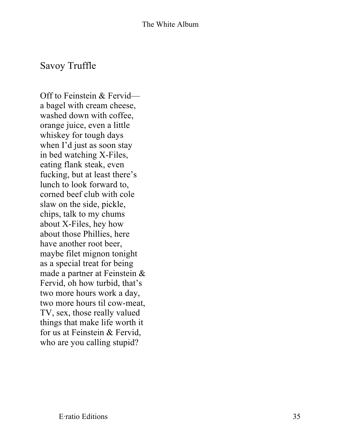### Savoy Truffle

Off to Feinstein & Fervid a bagel with cream cheese, washed down with coffee, orange juice, even a little whiskey for tough days when I'd just as soon stay in bed watching X-Files, eating flank steak, even fucking, but at least there's lunch to look forward to, corned beef club with cole slaw on the side, pickle, chips, talk to my chums about X-Files, hey how about those Phillies, here have another root beer, maybe filet mignon tonight as a special treat for being made a partner at Feinstein & Fervid, oh how turbid, that's two more hours work a day, two more hours til cow-meat, TV, sex, those really valued things that make life worth it for us at Feinstein & Fervid, who are you calling stupid?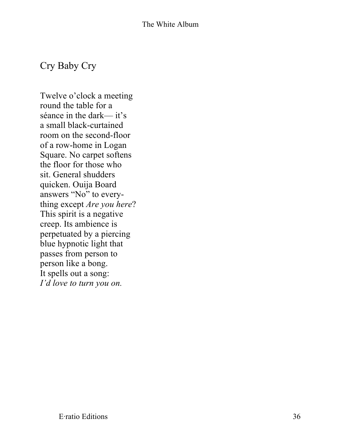# Cry Baby Cry

Twelve o'clock a meeting round the table for a séance in the dark— it's a small black-curtained room on the second-floor of a row-home in Logan Square. No carpet softens the floor for those who sit. General shudders quicken. Ouija Board answers "No" to everything except *Are you here*? This spirit is a negative creep. Its ambience is perpetuated by a piercing blue hypnotic light that passes from person to person like a bong. It spells out a song: *I'd love to turn you on.*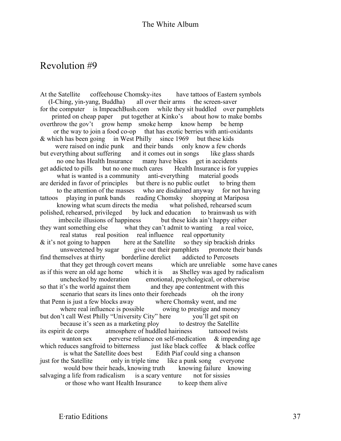# Revolution #9

At the Satellite coffeehouse Chomsky-ites have tattoos of Eastern symbols (I-Ching, yin-yang, Buddha) all over their arms the screen-saver for the computer is ImpeachBush.com while they sit huddled over pamphlets printed on cheap paper put together at Kinko's about how to make bombs overthrow the gov't grow hemp smoke hemp know hemp be hemp or the way to join a food co-op that has exotic berries with anti-oxidants & which has been going in West Philly since 1969 but these kids were raised on indie punk and their bands only know a few chords but everything about suffering and it comes out in songs like glass shards no one has Health Insurance many have bikes get in accidents get addicted to pills but no one much cares Health Insurance is for yuppies what is wanted is a community anti-everything material goods are derided in favor of principles but there is no public outlet to bring them to the attention of the masses who are disdained anyway for not having tattoos playing in punk bands reading Chomsky shopping at Mariposa knowing what scum directs the media what polished, rehearsed scum polished, rehearsed, privileged by luck and education to brainwash us with imbecile illusions of happiness but these kids ain't happy either they want something else what they can't admit to wanting a real voice, real status real position real influence real opportunity  $&$  it's not going to happen here at the Satellite so they sip brackish drinks unsweetened by sugar give out their pamphlets promote their bands find themselves at thirty borderline derelict addicted to Percosets that they get through covert means which are unreliable some have canes as if this were an old age home which it is as Shelley was aged by radicalism unchecked by moderation emotional, psychological, or otherwise so that it's the world against them and they ape contentment with this scenario that sears its lines onto their foreheads oh the irony that Penn is just a few blocks away where Chomsky went, and me where real influence is possible owing to prestige and money but don't call West Philly "University City" here you'll get spit on because it's seen as a marketing ploy to destroy the Satellite because it's seen as a marketing ploy its espirit de corps atmosphere of huddled hairiness tattooed twists wanton sex perverse reliance on self-medication & impending age which reduces sangfroid to bitterness just like black coffee  $\&$  black coffee is what the Satellite does best Edith Piaf could sing a chanson just for the Satellite only in triple time like a punk song everyone would bow their heads, knowing truth knowing failure knowing salvaging a life from radicalism is a scary venture not for sissies or those who want Health Insurance to keep them alive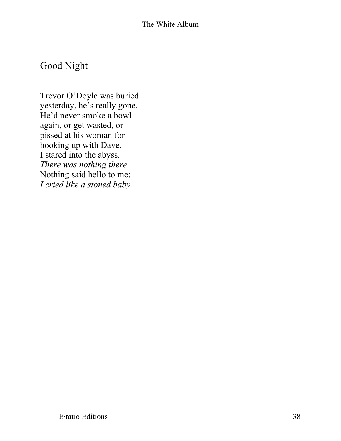# Good Night

Trevor O'Doyle was buried yesterday, he's really gone. He'd never smoke a bowl again, or get wasted, or pissed at his woman for hooking up with Dave. I stared into the abyss. *There was nothing there*. Nothing said hello to me: *I cried like a stoned baby.*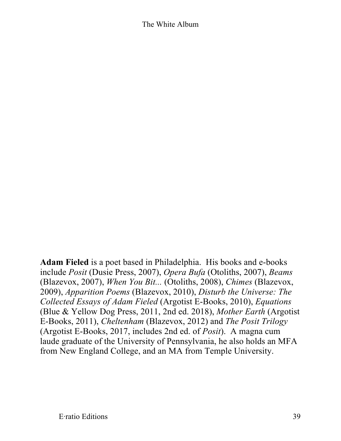The White Album

**Adam Fieled** is a poet based in Philadelphia. His books and e-books include *Posit* (Dusie Press, 2007), *Opera Bufa* (Otoliths, 2007), *Beams* (Blazevox, 2007), *When You Bit...* (Otoliths, 2008), *Chimes* (Blazevox, 2009), *Apparition Poems* (Blazevox, 2010), *Disturb the Universe: The Collected Essays of Adam Fieled* (Argotist E-Books, 2010), *Equations* (Blue & Yellow Dog Press, 2011, 2nd ed. 2018), *Mother Earth* (Argotist E-Books, 2011), *Cheltenham* (Blazevox, 2012) and *The Posit Trilogy* (Argotist E-Books, 2017, includes 2nd ed. of *Posit*). A magna cum laude graduate of the University of Pennsylvania, he also holds an MFA from New England College, and an MA from Temple University.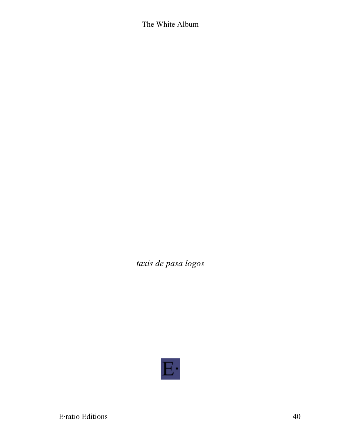The White Album

*taxis de pasa logos*

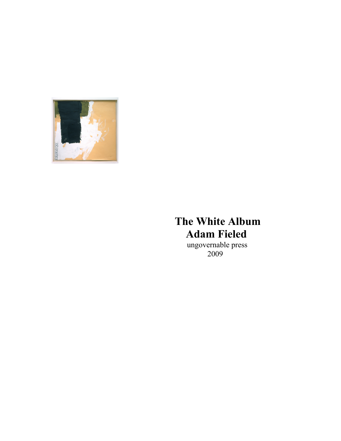

# **The White Album Adam Fieled**

 ungovernable press 2009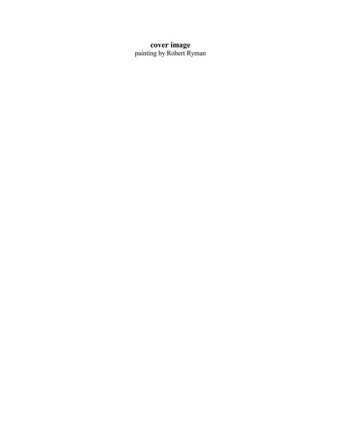#### **cover image**

painting by Robert Ryman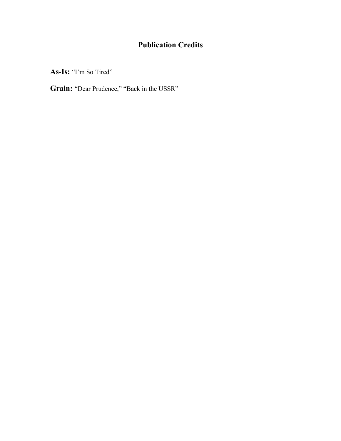### **Publication Credits**

As-Is: "I'm So Tired"

Grain: "Dear Prudence," "Back in the USSR"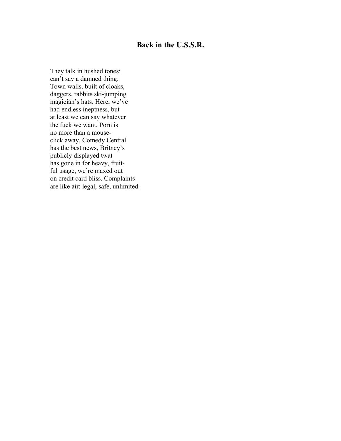### **Back in the U.S.S.R.**

They talk in hushed tones: can't say a damned thing. Town walls, built of cloaks, daggers, rabbits ski-jumping magician's hats. Here, we've had endless ineptness, but at least we can say whatever the fuck we want. Porn is no more than a mouseclick away, Comedy Central has the best news, Britney's publicly displayed twat has gone in for heavy, fruitful usage, we're maxed out on credit card bliss. Complaints are like air: legal, safe, unlimited.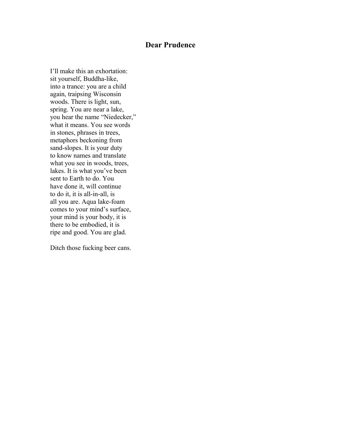#### **Dear Prudence**

I'll make this an exhortation: sit yourself, Buddha-like, into a trance: you are a child again, traipsing Wisconsin woods. There is light, sun, spring. You are near a lake, you hear the name "Niedecker," what it means. You see words in stones, phrases in trees, metaphors beckoning from sand-slopes. It is your duty to know names and translate what you see in woods, trees, lakes. It is what you've been sent to Earth to do. You have done it, will continue to do it, it is all-in-all, is all you are. Aqua lake-foam comes to your mind's surface, your mind is your body, it is there to be embodied, it is ripe and good. You are glad.

Ditch those fucking beer cans.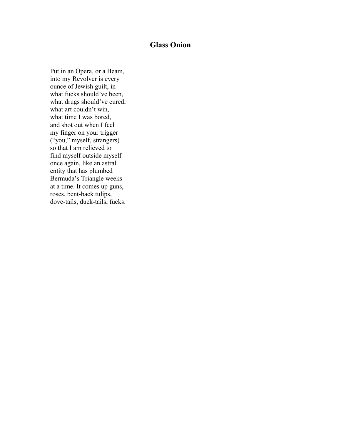### **Glass Onion**

Put in an Opera, or a Beam, into my Revolver is every ounce of Jewish guilt, in what fucks should've been, what drugs should've cured, what art couldn't win, what time I was bored, and shot out when I feel my finger on your trigger ("you," myself, strangers) so that I am relieved to find myself outside myself once again, like an astral entity that has plumbed Bermuda's Triangle weeks at a time. It comes up guns, roses, bent-back tulips, dove-tails, duck-tails, fucks.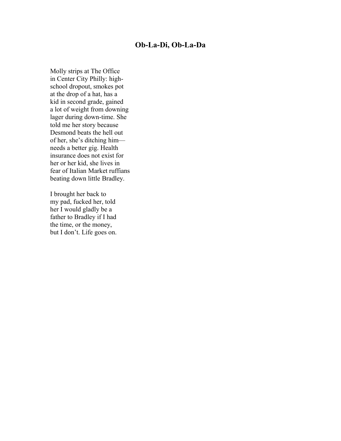#### **Ob-La-Di, Ob-La-Da**

Molly strips at The Office in Center City Philly: highschool dropout, smokes pot at the drop of a hat, has a kid in second grade, gained a lot of weight from downing lager during down-time. She told me her story because Desmond beats the hell out of her, she's ditching him needs a better gig. Health insurance does not exist for her or her kid, she lives in fear of Italian Market ruffians beating down little Bradley.

I brought her back to my pad, fucked her, told her I would gladly be a father to Bradley if I had the time, or the money, but I don't. Life goes on.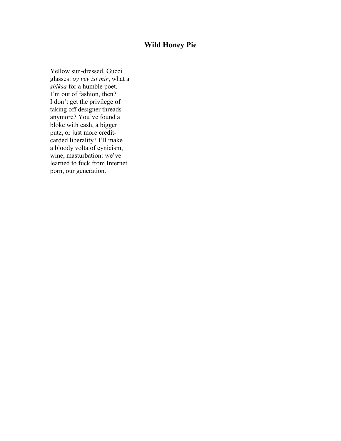# **Wild Honey Pie**

Yellow sun-dressed, Gucci glasses: *oy vey ist mir*, what a *shiksa* for a humble poet. I'm out of fashion, then? I don't get the privilege of taking off designer threads anymore? You've found a bloke with cash, a bigger putz, or just more creditcarded liberality? I'll make a bloody volta of cynicism, wine, masturbation: we've learned to fuck from Internet porn, our generation.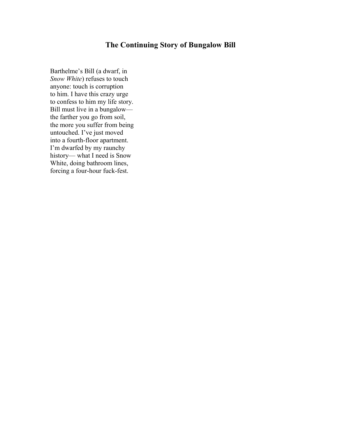### **The Continuing Story of Bungalow Bill**

Barthelme's Bill (a dwarf, in *Snow White*) refuses to touch anyone: touch is corruption to him. I have this crazy urge to confess to him my life story. Bill must live in a bungalow the farther you go from soil, the more you suffer from being untouched. I've just moved into a fourth-floor apartment. I'm dwarfed by my raunchy history— what I need is Snow White, doing bathroom lines, forcing a four-hour fuck-fest.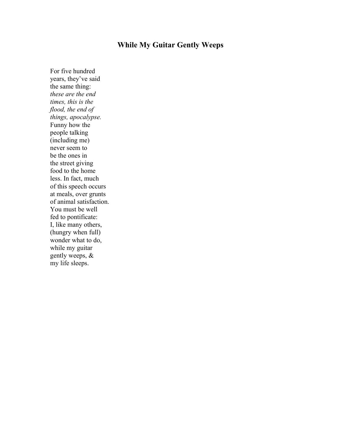# **While My Guitar Gently Weeps**

For five hundred years, they've said the same thing: *these are the end times, this is the flood, the end of things, apocalypse.*  Funny how the people talking (including me) never seem to be the ones in the street giving food to the home less. In fact, much of this speech occurs at meals, over grunts of animal satisfaction. You must be well fed to pontificate: I, like many others, (hungry when full) wonder what to do, while my guitar gently weeps, & my life sleeps.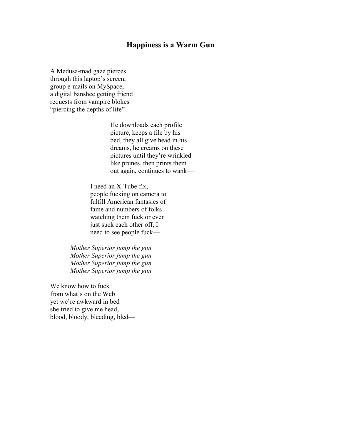### **Happiness is a Warm Gun**

A Medusa-mad gaze pierces through this laptop's screen, group e-mails on MySpace, a digital banshee getting friend requests from vampire blokes "piercing the depths of life"—

> He downloads each profile picture, keeps a file by his bed, they all give head in his dreams, he creams on these pictures until they're wrinkled like prunes, then prints them out again, continues to wank—

I need an X-Tube fix, people fucking on camera to fulfill American fantasies of fame and numbers of folks watching them fuck or even just suck each other off, I need to see people fuck—

*Mother Superior jump the gun Mother Superior jump the gun Mother Superior jump the gun Mother Superior jump the gun*

We know how to fuck from what's on the Web yet we're awkward in bed she tried to give me head, blood, bloody, bleeding, bled—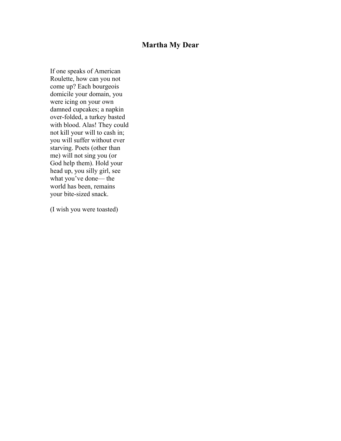#### **Martha My Dear**

If one speaks of American Roulette, how can you not come up? Each bourgeois domicile your domain, you were icing on your own damned cupcakes; a napkin over-folded, a turkey basted with blood. Alas! They could not kill your will to cash in; you will suffer without ever starving. Poets (other than me) will not sing you (or God help them). Hold your head up, you silly girl, see what you've done— the world has been, remains your bite-sized snack.

(I wish you were toasted)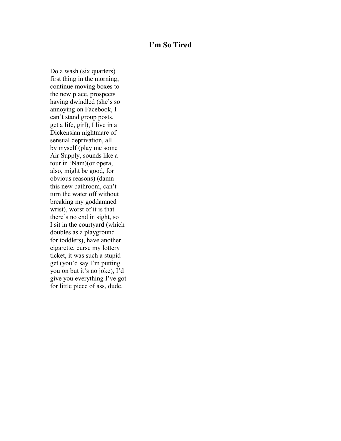### **I'm So Tired**

Do a wash (six quarters) first thing in the morning, continue moving boxes to the new place, prospects having dwindled (she's so annoying on Facebook, I can't stand group posts, get a life, girl), I live in a Dickensian nightmare of sensual deprivation, all by myself (play me some Air Supply, sounds like a tour in 'Nam)(or opera, also, might be good, for obvious reasons) (damn this new bathroom, can't turn the water off without breaking my goddamned wrist), worst of it is that there's no end in sight, so I sit in the courtyard (which doubles as a playground for toddlers), have another cigarette, curse my lottery ticket, it was such a stupid get (you'd say I'm putting you on but it's no joke), I'd give you everything I've got for little piece of ass, dude.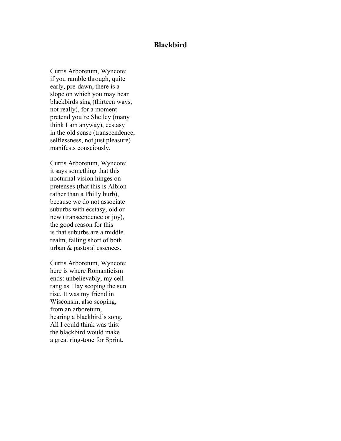#### **Blackbird**

Curtis Arboretum, Wyncote: if you ramble through, quite early, pre-dawn, there is a slope on which you may hear blackbirds sing (thirteen ways, not really), for a moment pretend you're Shelley (many think I am anyway), ecstasy in the old sense (transcendence, selflessness, not just pleasure) manifests consciously.

Curtis Arboretum, Wyncote: it says something that this nocturnal vision hinges on pretenses (that this is Albion rather than a Philly burb), because we do not associate suburbs with ecstasy, old or new (transcendence or joy), the good reason for this is that suburbs are a middle realm, falling short of both urban & pastoral essences.

Curtis Arboretum, Wyncote: here is where Romanticism ends: unbelievably, my cell rang as I lay scoping the sun rise. It was my friend in Wisconsin, also scoping, from an arboretum, hearing a blackbird's song. All I could think was this: the blackbird would make a great ring-tone for Sprint.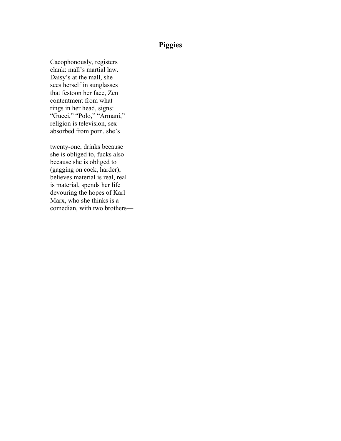### **Piggies**

Cacophonously, registers clank: mall's martial law. Daisy's at the mall, she sees herself in sunglasses that festoon her face, Zen contentment from what rings in her head, signs: "Gucci," "Polo," "Armani," religion is television, sex absorbed from porn, she's

twenty-one, drinks because she is obliged to, fucks also because she is obliged to (gagging on cock, harder), believes material is real, real is material, spends her life devouring the hopes of Karl Marx, who she thinks is a comedian, with two brothers—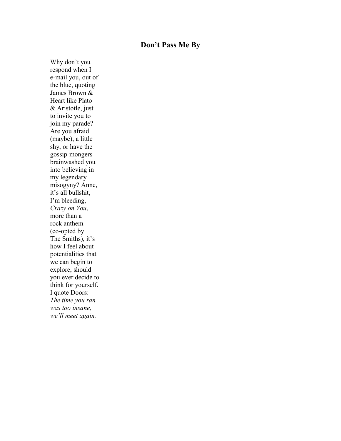#### **Don't Pass Me By**

Why don't you respond when I e-mail you, out of the blue, quoting James Brown & Heart like Plato & Aristotle, just to invite you to join my parade? Are you afraid (maybe), a little shy, or have the gossip-mongers brainwashed you into believing in my legendary misogyny? Anne, it's all bullshit, I'm bleeding, *Crazy on You* , more than a rock anthem (co-opted by The Smiths), it's how I feel about potentialities that we can begin to explore, should you ever decide to think for yourself. I quote Doors: *The time you ran was too insane, we'll meet again.*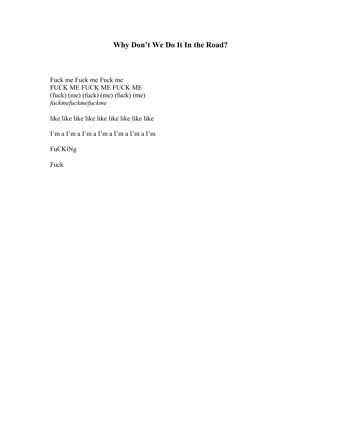# **Why Don't We Do It In the Road?**

Fuck me Fuck me Fuck me FUCK ME FUCK ME FUCK ME (fuck) (me) (fuck) (me) (fuck) (me) *fuckmefuckmefuckme*

like like like like like like like like like

I'm a I'm a I'm a I'm a I'm a I'm a I'm

FuCKiNg

Fuck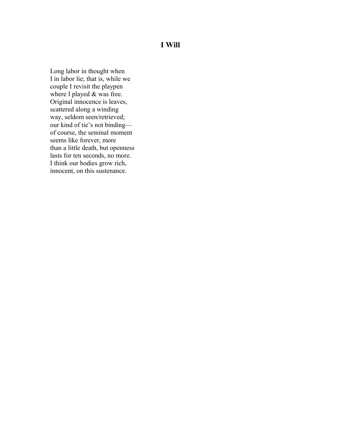### **I Will**

Long labor in thought when I in labor lie; that is, while we couple I revisit the playpen where I played & was free. Original innocence is leaves, scattered along a winding way, seldom seen/retrieved; our kind of tie's not binding of course, the seminal moment seems like forever, more than a little death, but openness lasts for ten seconds, no more. I think our bodies grow rich, innocent, on this sustenance.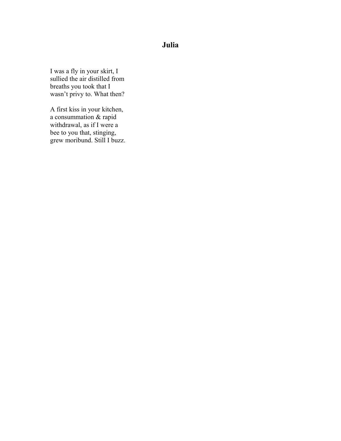### **Julia**

I was a fly in your skirt, I sullied the air distilled from breaths you took that I wasn't privy to. What then?

A first kiss in your kitchen, a consummation & rapid withdrawal, as if I were a bee to you that, stinging, grew moribund. Still I buzz.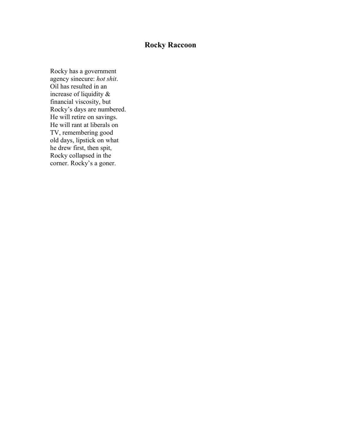# **Rocky Raccoon**

Rocky has a government agency sinecure: *hot shit*. Oil has resulted in an increase of liquidity & financial viscosity, but Rocky's days are numbered. He will retire on savings. He will rant at liberals on TV, remembering good old days, lipstick on what he drew first, then spit, Rocky collapsed in the corner. Rocky's a goner.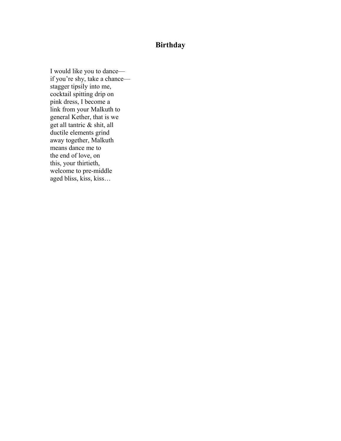# **Birthday**

I would like you to dance if you're shy, take a chance stagger tipsily into me, cocktail spitting drip on pink dress, I become a link from your Malkuth to general Kether, that is we get all tantric & shit, all ductile elements grind away together, Malkuth means dance me to the end of love, on this, your thirtieth, welcome to pre-middle aged bliss, kiss, kiss…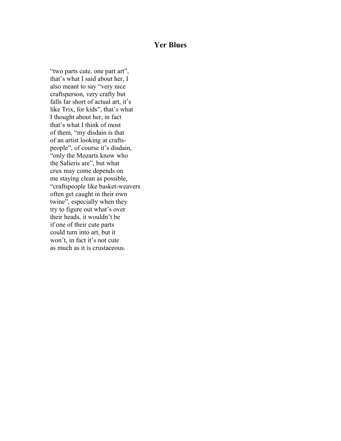#### **Yer Blues**

"two parts cute, one part art", that's what I said about her, I also meant to say "very nice craftsperson, very crafty but falls far short of actual art, it's like Trix, for kids", that's what I thought about her, in fact that's what I think of most of them, "my disdain is that of an artist looking at craftspeople", of course it's disdain, "only the Mozarts know who the Salieris are", but what crux may come depends on me staying clean as possible, "craftspeople like basket-weavers often get caught in their own twine", especially when they try to figure out what's over their heads, it wouldn't be if one of their cute parts could turn into art, but it won't, in fact it's not cute as much as it is crustaceous.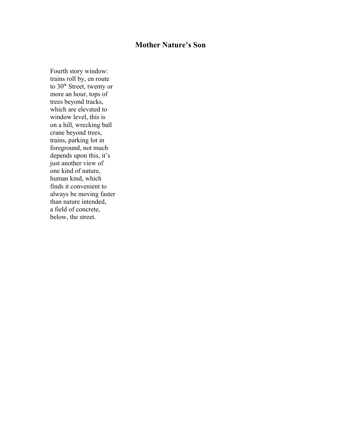### **Mother Nature's Son**

Fourth story window: trains roll by, en route to 30<sup>th</sup> Street, twenty or more an hour, tops of trees beyond tracks, which are elevated to window level, this is on a hill, wrecking ball crane beyond trees, trains, parking lot in foreground, not much depends upon this, it's just another view of one kind of nature, human kind, which finds it convenient to always be moving faster than nature intended, a field of concrete, below, the street.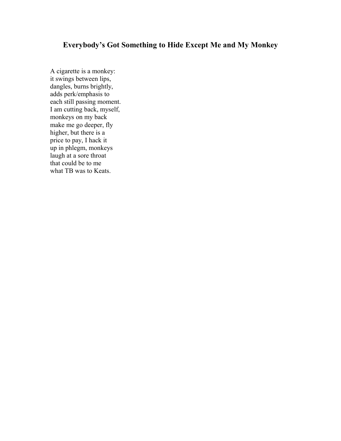# **Everybody's Got Something to Hide Except Me and My Monkey**

A cigarette is a monkey: it swings between lips, dangles, burns brightly, adds perk/emphasis to each still passing moment. I am cutting back, myself, monkeys on my back make me go deeper, fly higher, but there is a price to pay, I hack it up in phlegm, monkeys laugh at a sore throat that could be to me what TB was to Keats.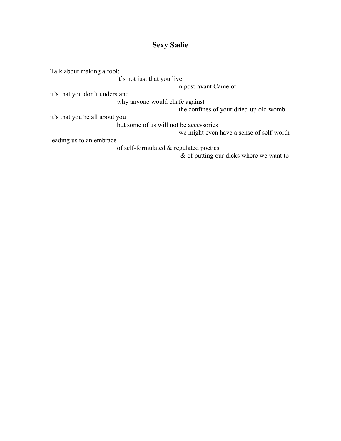# **Sexy Sadie**

Talk about making a fool: it's not just that you live in post-avant Camelot it's that you don't understand why anyone would chafe against the confines of your dried-up old womb it's that you're all about you but some of us will not be accessories we might even have a sense of self-worth leading us to an embrace of self-formulated & regulated poetics & of putting our dicks where we want to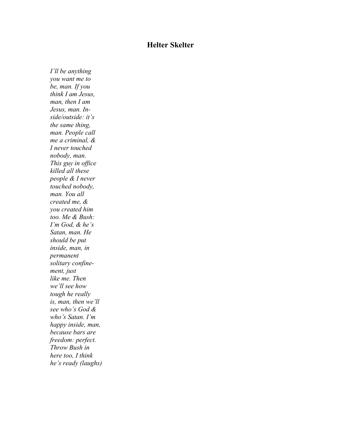#### **Helter Skelter**

*I'll be anything you want me to be, man. If you think I am Jesus, man, then I am Jesus, man. Inside/outside: it's the same thing, man. People call me a criminal, & I never touched nobody, man. This guy in office killed all these people & I never touched nobody, man. You all created me, & you created him too. Me & Bush: I'm God, & he's Satan, man. He should be put inside, man, in permanent solitary confinement, just like me. Then we'll see how tough he really is, man, then we'll see who's God & who's Satan. I'm happy inside, man, because bars are freedom: perfect. Throw Bush in here too, I think he's ready (laughs)*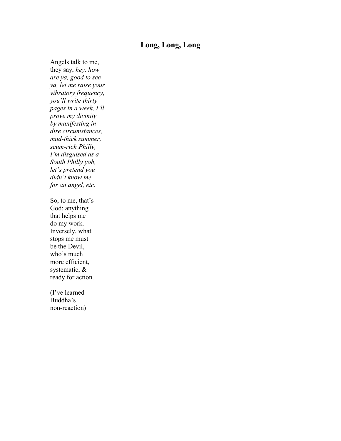### **Long, Long, Long**

Angels talk to me, they say, *hey, how are ya, good to see ya, let me raise your vibratory frequency, you'll write thirty pages in a week, I'll prove my divinity by manifesting in dire circumstances, mud-thick summer, scum-rich Philly, I'm disguised as a South Philly yob, let's pretend you didn't know me for an angel, etc.*  So, to me, that's God: anything that helps me do my work.

Inversely, what stops me must be the Devil, who's much more efficient, systematic, & ready for action.

(I've learned Buddha's non-reaction)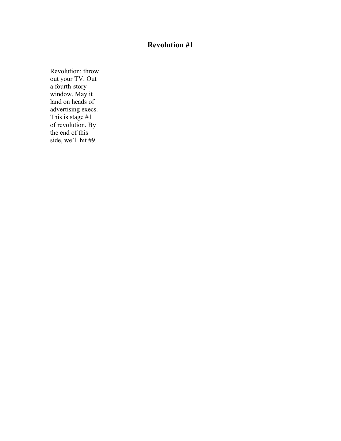### **Revolution #1**

Revolution: throw out your TV. Out a fourth-story window. May it land on heads of advertising execs. This is stage #1 of revolution. By the end of this side, we'll hit #9.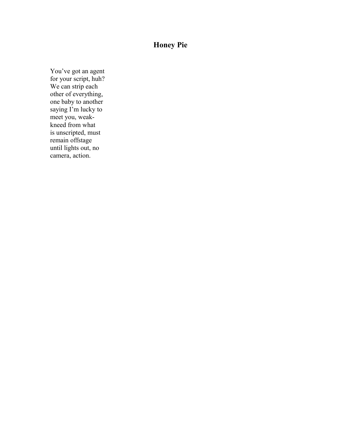# **Honey Pie**

You've got an agent for your script, huh? We can strip each other of everything, one baby to another saying I'm lucky to meet you, weakkneed from what is unscripted, must remain offstage until lights out, no camera, action.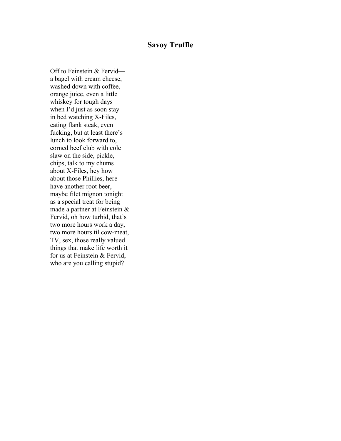#### **Savoy Truffle**

Off to Feinstein & Fervid a bagel with cream cheese, washed down with coffee, orange juice, even a little whiskey for tough days when I'd just as soon stay in bed watching X-Files, eating flank steak, even fucking, but at least there's lunch to look forward to, corned beef club with cole slaw on the side, pickle, chips, talk to my chums about X-Files, hey how about those Phillies, here have another root beer, maybe filet mignon tonight as a special treat for being made a partner at Feinstein & Fervid, oh how turbid, that's two more hours work a day, two more hours til cow-meat, TV, sex, those really valued things that make life worth it for us at Feinstein & Fervid, who are you calling stupid?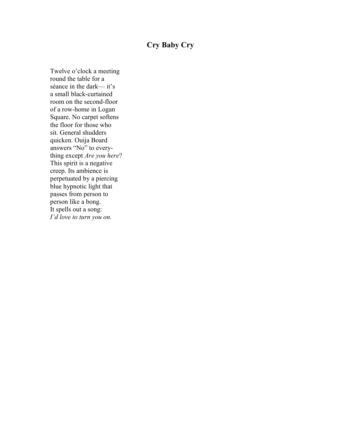### **Cry Baby Cry**

Twelve o'clock a meeting round the table for a séance in the dark— it's a small black-curtained room on the second-floor of a row-home in Logan Square. No carpet softens the floor for those who sit. General shudders quicken. Ouija Board answers "No" to everything except *Are you here*? This spirit is a negative creep. Its ambience is perpetuated by a piercing blue hypnotic light that passes from person to person like a bong. It spells out a song: *I'd love to turn you on.*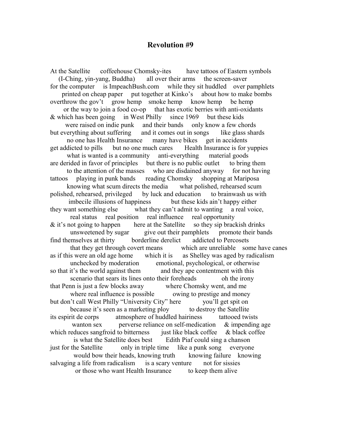#### **Revolution #9**

At the Satellite coffeehouse Chomsky-ites have tattoos of Eastern symbols (I-Ching, yin-yang, Buddha) all over their arms the screen-saver for the computer is ImpeachBush.com while they sit huddled over pamphlets printed on cheap paper put together at Kinko's about how to make bombs overthrow the gov't grow hemp smoke hemp know hemp be hemp or the way to join a food co-op that has exotic berries with anti-oxidants & which has been going in West Philly since 1969 but these kids were raised on indie punk and their bands only know a few chords but everything about suffering and it comes out in songs like glass shards no one has Health Insurance many have bikes get in accidents get addicted to pills but no one much cares Health Insurance is for yuppies what is wanted is a community anti-everything material goods are derided in favor of principles but there is no public outlet to bring them to the attention of the masses who are disdained anyway for not having tattoos playing in punk bands reading Chomsky shopping at Mariposa knowing what scum directs the media what polished, rehearsed scum polished, rehearsed, privileged by luck and education to brainwash us with imbecile illusions of happiness but these kids ain't happy either they want something else what they can't admit to wanting a real voice, real status real position real influence real opportunity  $&$  it's not going to happen here at the Satellite so they sip brackish drinks unsweetened by sugar give out their pamphlets promote their bands find themselves at thirty borderline derelict addicted to Percosets that they get through covert means which are unreliable some have canes as if this were an old age home which it is as Shelley was aged by radicalism unchecked by moderation emotional, psychological, or otherwise so that it's the world against them and they ape contentment with this scenario that sears its lines onto their foreheads oh the irony that Penn is just a few blocks away where Chomsky went, and me where real influence is possible owing to prestige and money but don't call West Philly "University City" here you'll get spit on because it's seen as a marketing ploy to destroy the Satellite its espirit de corps atmosphere of huddled hairiness tattooed twists wanton sex perverse reliance on self-medication & impending age which reduces sangfroid to bitterness just like black coffee  $\&$  black coffee is what the Satellite does best Edith Piaf could sing a chanson just for the Satellite only in triple time like a punk song everyone would bow their heads, knowing truth knowing failure knowing salvaging a life from radicalism is a scary venture not for sissies or those who want Health Insurance to keep them alive